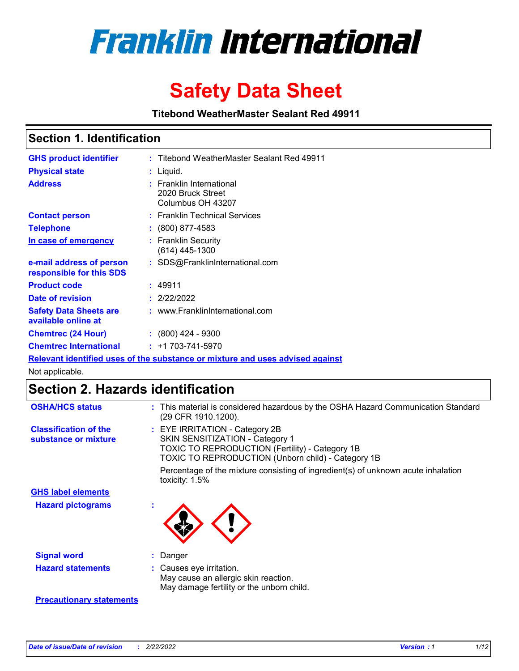

# **Safety Data Sheet**

**Titebond WeatherMaster Sealant Red 49911**

### **Section 1. Identification**

| <b>GHS product identifier</b>                                                 |  | : Titebond WeatherMaster Sealant Red 49911                         |  |  |  |
|-------------------------------------------------------------------------------|--|--------------------------------------------------------------------|--|--|--|
| <b>Physical state</b>                                                         |  | : Liquid.                                                          |  |  |  |
| <b>Address</b>                                                                |  | : Franklin International<br>2020 Bruck Street<br>Columbus OH 43207 |  |  |  |
| <b>Contact person</b>                                                         |  | : Franklin Technical Services                                      |  |  |  |
| <b>Telephone</b>                                                              |  | $\colon$ (800) 877-4583                                            |  |  |  |
| In case of emergency                                                          |  | : Franklin Security<br>(614) 445-1300                              |  |  |  |
| e-mail address of person<br>responsible for this SDS                          |  | : SDS@FranklinInternational.com                                    |  |  |  |
| <b>Product code</b>                                                           |  | : 49911                                                            |  |  |  |
| Date of revision                                                              |  | : 2/22/2022                                                        |  |  |  |
| <b>Safety Data Sheets are</b><br>available online at                          |  | : www.FranklinInternational.com                                    |  |  |  |
| <b>Chemtrec (24 Hour)</b>                                                     |  | $: (800)$ 424 - 9300                                               |  |  |  |
| <b>Chemtrec International</b>                                                 |  | $: +1703 - 741 - 5970$                                             |  |  |  |
| Relevant identified uses of the substance or mixture and uses advised against |  |                                                                    |  |  |  |

Not applicable.

## **Section 2. Hazards identification**

| <b>OSHA/HCS status</b>                               | : This material is considered hazardous by the OSHA Hazard Communication Standard<br>(29 CFR 1910.1200).                                                                                 |
|------------------------------------------------------|------------------------------------------------------------------------------------------------------------------------------------------------------------------------------------------|
| <b>Classification of the</b><br>substance or mixture | : EYE IRRITATION - Category 2B<br>SKIN SENSITIZATION - Category 1<br><b>TOXIC TO REPRODUCTION (Fertility) - Category 1B</b><br><b>TOXIC TO REPRODUCTION (Unborn child) - Category 1B</b> |
|                                                      | Percentage of the mixture consisting of ingredient(s) of unknown acute inhalation<br>toxicity: $1.5\%$                                                                                   |
| <b>GHS label elements</b>                            |                                                                                                                                                                                          |
| <b>Hazard pictograms</b>                             |                                                                                                                                                                                          |
| <b>Signal word</b>                                   | : Danger                                                                                                                                                                                 |
| <b>Hazard statements</b>                             | : Causes eye irritation.<br>May cause an allergic skin reaction.<br>May damage fertility or the unborn child.                                                                            |
| <b>Precautionary statements</b>                      |                                                                                                                                                                                          |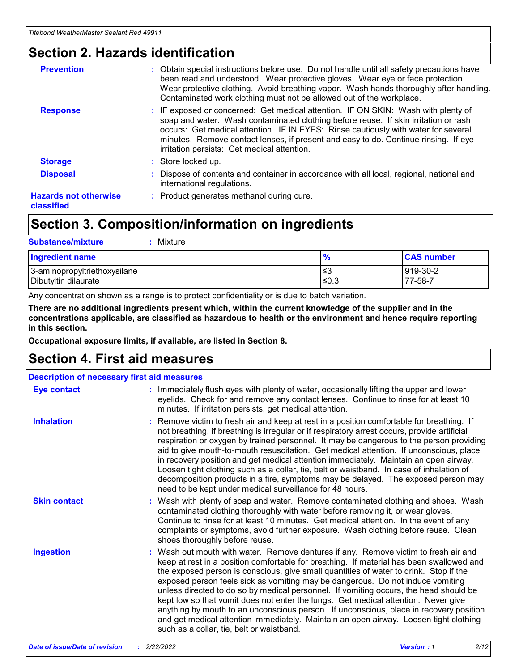### **Section 2. Hazards identification**

| <b>Prevention</b>                          | : Obtain special instructions before use. Do not handle until all safety precautions have<br>been read and understood. Wear protective gloves. Wear eye or face protection.<br>Wear protective clothing. Avoid breathing vapor. Wash hands thoroughly after handling.<br>Contaminated work clothing must not be allowed out of the workplace.                                                        |
|--------------------------------------------|------------------------------------------------------------------------------------------------------------------------------------------------------------------------------------------------------------------------------------------------------------------------------------------------------------------------------------------------------------------------------------------------------|
| <b>Response</b>                            | : IF exposed or concerned: Get medical attention. IF ON SKIN: Wash with plenty of<br>soap and water. Wash contaminated clothing before reuse. If skin irritation or rash<br>occurs: Get medical attention. IF IN EYES: Rinse cautiously with water for several<br>minutes. Remove contact lenses, if present and easy to do. Continue rinsing. If eye<br>irritation persists: Get medical attention. |
| <b>Storage</b>                             | : Store locked up.                                                                                                                                                                                                                                                                                                                                                                                   |
| <b>Disposal</b>                            | : Dispose of contents and container in accordance with all local, regional, national and<br>international regulations.                                                                                                                                                                                                                                                                               |
| <b>Hazards not otherwise</b><br>classified | : Product generates methanol during cure.                                                                                                                                                                                                                                                                                                                                                            |
|                                            |                                                                                                                                                                                                                                                                                                                                                                                                      |

## **Section 3. Composition/information on ingredients**

| <b>Substance/mixture</b><br>Mixture                  |               |                     |
|------------------------------------------------------|---------------|---------------------|
| <b>Ingredient name</b>                               | $\frac{9}{6}$ | <b>CAS number</b>   |
| 3-aminopropyltriethoxysilane<br>Dibutyltin dilaurate | ≤3<br>≤0.3    | 919-30-2<br>77-58-7 |

Any concentration shown as a range is to protect confidentiality or is due to batch variation.

**There are no additional ingredients present which, within the current knowledge of the supplier and in the concentrations applicable, are classified as hazardous to health or the environment and hence require reporting in this section.**

**Occupational exposure limits, if available, are listed in Section 8.**

### **Section 4. First aid measures**

| <b>Description of necessary first aid measures</b> |                                                                                                                                                                                                                                                                                                                                                                                                                                                                                                                                                                                                                                                                                                                                                                           |  |  |  |
|----------------------------------------------------|---------------------------------------------------------------------------------------------------------------------------------------------------------------------------------------------------------------------------------------------------------------------------------------------------------------------------------------------------------------------------------------------------------------------------------------------------------------------------------------------------------------------------------------------------------------------------------------------------------------------------------------------------------------------------------------------------------------------------------------------------------------------------|--|--|--|
| <b>Eye contact</b>                                 | : Immediately flush eyes with plenty of water, occasionally lifting the upper and lower<br>eyelids. Check for and remove any contact lenses. Continue to rinse for at least 10<br>minutes. If irritation persists, get medical attention.                                                                                                                                                                                                                                                                                                                                                                                                                                                                                                                                 |  |  |  |
| <b>Inhalation</b>                                  | : Remove victim to fresh air and keep at rest in a position comfortable for breathing. If<br>not breathing, if breathing is irregular or if respiratory arrest occurs, provide artificial<br>respiration or oxygen by trained personnel. It may be dangerous to the person providing<br>aid to give mouth-to-mouth resuscitation. Get medical attention. If unconscious, place<br>in recovery position and get medical attention immediately. Maintain an open airway.<br>Loosen tight clothing such as a collar, tie, belt or waistband. In case of inhalation of<br>decomposition products in a fire, symptoms may be delayed. The exposed person may<br>need to be kept under medical surveillance for 48 hours.                                                       |  |  |  |
| <b>Skin contact</b>                                | : Wash with plenty of soap and water. Remove contaminated clothing and shoes. Wash<br>contaminated clothing thoroughly with water before removing it, or wear gloves.<br>Continue to rinse for at least 10 minutes. Get medical attention. In the event of any<br>complaints or symptoms, avoid further exposure. Wash clothing before reuse. Clean<br>shoes thoroughly before reuse.                                                                                                                                                                                                                                                                                                                                                                                     |  |  |  |
| <b>Ingestion</b>                                   | : Wash out mouth with water. Remove dentures if any. Remove victim to fresh air and<br>keep at rest in a position comfortable for breathing. If material has been swallowed and<br>the exposed person is conscious, give small quantities of water to drink. Stop if the<br>exposed person feels sick as vomiting may be dangerous. Do not induce vomiting<br>unless directed to do so by medical personnel. If vomiting occurs, the head should be<br>kept low so that vomit does not enter the lungs. Get medical attention. Never give<br>anything by mouth to an unconscious person. If unconscious, place in recovery position<br>and get medical attention immediately. Maintain an open airway. Loosen tight clothing<br>such as a collar, tie, belt or waistband. |  |  |  |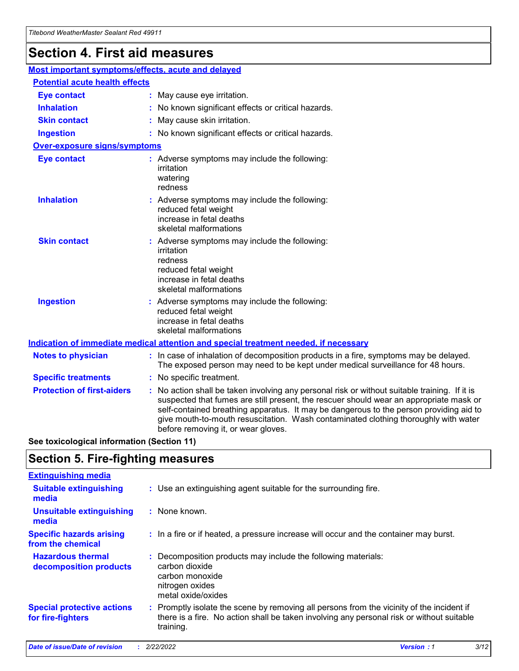## **Section 4. First aid measures**

| Most important symptoms/effects, acute and delayed |  |                                                                                                                                                                                                                                                                                                                                                                                                                 |  |
|----------------------------------------------------|--|-----------------------------------------------------------------------------------------------------------------------------------------------------------------------------------------------------------------------------------------------------------------------------------------------------------------------------------------------------------------------------------------------------------------|--|
| <b>Potential acute health effects</b>              |  |                                                                                                                                                                                                                                                                                                                                                                                                                 |  |
| <b>Eye contact</b>                                 |  | : May cause eye irritation.                                                                                                                                                                                                                                                                                                                                                                                     |  |
| <b>Inhalation</b>                                  |  | : No known significant effects or critical hazards.                                                                                                                                                                                                                                                                                                                                                             |  |
| <b>Skin contact</b>                                |  | : May cause skin irritation.                                                                                                                                                                                                                                                                                                                                                                                    |  |
| <b>Ingestion</b>                                   |  | : No known significant effects or critical hazards.                                                                                                                                                                                                                                                                                                                                                             |  |
| <b>Over-exposure signs/symptoms</b>                |  |                                                                                                                                                                                                                                                                                                                                                                                                                 |  |
| <b>Eye contact</b>                                 |  | : Adverse symptoms may include the following:<br>irritation<br>watering<br>redness                                                                                                                                                                                                                                                                                                                              |  |
| <b>Inhalation</b>                                  |  | : Adverse symptoms may include the following:<br>reduced fetal weight<br>increase in fetal deaths<br>skeletal malformations                                                                                                                                                                                                                                                                                     |  |
| <b>Skin contact</b>                                |  | : Adverse symptoms may include the following:<br>irritation<br>redness<br>reduced fetal weight<br>increase in fetal deaths<br>skeletal malformations                                                                                                                                                                                                                                                            |  |
| <b>Ingestion</b>                                   |  | : Adverse symptoms may include the following:<br>reduced fetal weight<br>increase in fetal deaths<br>skeletal malformations                                                                                                                                                                                                                                                                                     |  |
|                                                    |  | <b>Indication of immediate medical attention and special treatment needed, if necessary</b>                                                                                                                                                                                                                                                                                                                     |  |
| <b>Notes to physician</b>                          |  | : In case of inhalation of decomposition products in a fire, symptoms may be delayed.<br>The exposed person may need to be kept under medical surveillance for 48 hours.                                                                                                                                                                                                                                        |  |
| <b>Specific treatments</b>                         |  | : No specific treatment.                                                                                                                                                                                                                                                                                                                                                                                        |  |
| <b>Protection of first-aiders</b>                  |  | : No action shall be taken involving any personal risk or without suitable training. If it is<br>suspected that fumes are still present, the rescuer should wear an appropriate mask or<br>self-contained breathing apparatus. It may be dangerous to the person providing aid to<br>give mouth-to-mouth resuscitation. Wash contaminated clothing thoroughly with water<br>before removing it, or wear gloves. |  |

**See toxicological information (Section 11)**

### **Section 5. Fire-fighting measures**

| <b>Extinguishing media</b>                             |                                                                                                                                                                                                     |
|--------------------------------------------------------|-----------------------------------------------------------------------------------------------------------------------------------------------------------------------------------------------------|
| <b>Suitable extinguishing</b><br>media                 | : Use an extinguishing agent suitable for the surrounding fire.                                                                                                                                     |
| <b>Unsuitable extinguishing</b><br>media               | : None known.                                                                                                                                                                                       |
| <b>Specific hazards arising</b><br>from the chemical   | : In a fire or if heated, a pressure increase will occur and the container may burst.                                                                                                               |
| <b>Hazardous thermal</b><br>decomposition products     | : Decomposition products may include the following materials:<br>carbon dioxide<br>carbon monoxide<br>nitrogen oxides<br>metal oxide/oxides                                                         |
| <b>Special protective actions</b><br>for fire-fighters | : Promptly isolate the scene by removing all persons from the vicinity of the incident if<br>there is a fire. No action shall be taken involving any personal risk or without suitable<br>training. |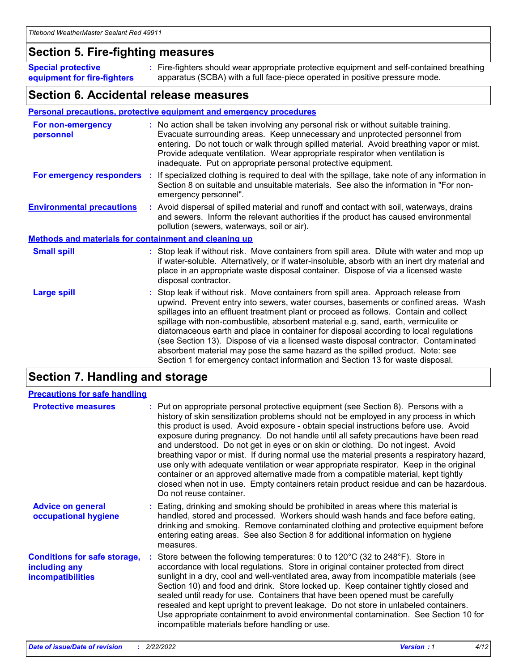### **Section 5. Fire-fighting measures**

**Special protective equipment for fire-fighters** Fire-fighters should wear appropriate protective equipment and self-contained breathing **:** apparatus (SCBA) with a full face-piece operated in positive pressure mode.

### **Section 6. Accidental release measures**

#### **Personal precautions, protective equipment and emergency procedures**

| For non-emergency<br>personnel                               | : No action shall be taken involving any personal risk or without suitable training.<br>Evacuate surrounding areas. Keep unnecessary and unprotected personnel from<br>entering. Do not touch or walk through spilled material. Avoid breathing vapor or mist.<br>Provide adequate ventilation. Wear appropriate respirator when ventilation is<br>inadequate. Put on appropriate personal protective equipment.                                                                                                                                                                                                                                                                                             |
|--------------------------------------------------------------|--------------------------------------------------------------------------------------------------------------------------------------------------------------------------------------------------------------------------------------------------------------------------------------------------------------------------------------------------------------------------------------------------------------------------------------------------------------------------------------------------------------------------------------------------------------------------------------------------------------------------------------------------------------------------------------------------------------|
|                                                              | For emergency responders : If specialized clothing is required to deal with the spillage, take note of any information in<br>Section 8 on suitable and unsuitable materials. See also the information in "For non-<br>emergency personnel".                                                                                                                                                                                                                                                                                                                                                                                                                                                                  |
| <b>Environmental precautions</b>                             | : Avoid dispersal of spilled material and runoff and contact with soil, waterways, drains<br>and sewers. Inform the relevant authorities if the product has caused environmental<br>pollution (sewers, waterways, soil or air).                                                                                                                                                                                                                                                                                                                                                                                                                                                                              |
| <b>Methods and materials for containment and cleaning up</b> |                                                                                                                                                                                                                                                                                                                                                                                                                                                                                                                                                                                                                                                                                                              |
| <b>Small spill</b>                                           | : Stop leak if without risk. Move containers from spill area. Dilute with water and mop up<br>if water-soluble. Alternatively, or if water-insoluble, absorb with an inert dry material and<br>place in an appropriate waste disposal container. Dispose of via a licensed waste<br>disposal contractor.                                                                                                                                                                                                                                                                                                                                                                                                     |
| <b>Large spill</b>                                           | : Stop leak if without risk. Move containers from spill area. Approach release from<br>upwind. Prevent entry into sewers, water courses, basements or confined areas. Wash<br>spillages into an effluent treatment plant or proceed as follows. Contain and collect<br>spillage with non-combustible, absorbent material e.g. sand, earth, vermiculite or<br>diatomaceous earth and place in container for disposal according to local regulations<br>(see Section 13). Dispose of via a licensed waste disposal contractor. Contaminated<br>absorbent material may pose the same hazard as the spilled product. Note: see<br>Section 1 for emergency contact information and Section 13 for waste disposal. |

### **Section 7. Handling and storage**

| <b>Precautions for safe handling</b>                                             |                                                                                                                                                                                                                                                                                                                                                                                                                                                                                                                                                                                                                                                                                                                                                                                                                                                  |
|----------------------------------------------------------------------------------|--------------------------------------------------------------------------------------------------------------------------------------------------------------------------------------------------------------------------------------------------------------------------------------------------------------------------------------------------------------------------------------------------------------------------------------------------------------------------------------------------------------------------------------------------------------------------------------------------------------------------------------------------------------------------------------------------------------------------------------------------------------------------------------------------------------------------------------------------|
| <b>Protective measures</b>                                                       | : Put on appropriate personal protective equipment (see Section 8). Persons with a<br>history of skin sensitization problems should not be employed in any process in which<br>this product is used. Avoid exposure - obtain special instructions before use. Avoid<br>exposure during pregnancy. Do not handle until all safety precautions have been read<br>and understood. Do not get in eyes or on skin or clothing. Do not ingest. Avoid<br>breathing vapor or mist. If during normal use the material presents a respiratory hazard,<br>use only with adequate ventilation or wear appropriate respirator. Keep in the original<br>container or an approved alternative made from a compatible material, kept tightly<br>closed when not in use. Empty containers retain product residue and can be hazardous.<br>Do not reuse container. |
| <b>Advice on general</b><br>occupational hygiene                                 | : Eating, drinking and smoking should be prohibited in areas where this material is<br>handled, stored and processed. Workers should wash hands and face before eating,<br>drinking and smoking. Remove contaminated clothing and protective equipment before<br>entering eating areas. See also Section 8 for additional information on hygiene<br>measures.                                                                                                                                                                                                                                                                                                                                                                                                                                                                                    |
| <b>Conditions for safe storage,</b><br>including any<br><b>incompatibilities</b> | : Store between the following temperatures: 0 to 120 $\degree$ C (32 to 248 $\degree$ F). Store in<br>accordance with local regulations. Store in original container protected from direct<br>sunlight in a dry, cool and well-ventilated area, away from incompatible materials (see<br>Section 10) and food and drink. Store locked up. Keep container tightly closed and<br>sealed until ready for use. Containers that have been opened must be carefully<br>resealed and kept upright to prevent leakage. Do not store in unlabeled containers.<br>Use appropriate containment to avoid environmental contamination. See Section 10 for<br>incompatible materials before handling or use.                                                                                                                                                   |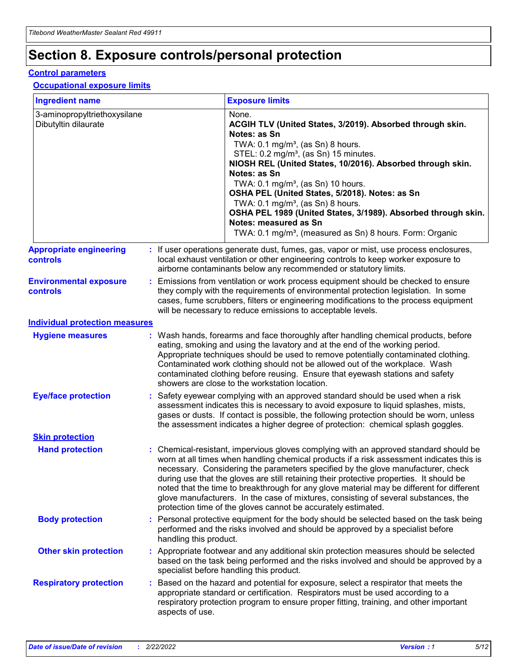## **Section 8. Exposure controls/personal protection**

#### **Control parameters**

#### **Occupational exposure limits**

| <b>Ingredient name</b>                               |    |                        | <b>Exposure limits</b>                                                                                                                                                                                                                                                                                                                                                                                                                                                                                                                                                                                                 |
|------------------------------------------------------|----|------------------------|------------------------------------------------------------------------------------------------------------------------------------------------------------------------------------------------------------------------------------------------------------------------------------------------------------------------------------------------------------------------------------------------------------------------------------------------------------------------------------------------------------------------------------------------------------------------------------------------------------------------|
| 3-aminopropyltriethoxysilane<br>Dibutyltin dilaurate |    |                        | None.<br>ACGIH TLV (United States, 3/2019). Absorbed through skin.<br>Notes: as Sn<br>TWA: $0.1 \text{ mg/m}^3$ , (as Sn) 8 hours.<br>STEL: 0.2 mg/m <sup>3</sup> , (as Sn) 15 minutes.<br>NIOSH REL (United States, 10/2016). Absorbed through skin.<br>Notes: as Sn<br>TWA: 0.1 mg/m <sup>3</sup> , (as Sn) 10 hours.<br>OSHA PEL (United States, 5/2018). Notes: as Sn<br>TWA: $0.1 \text{ mg/m}^3$ , (as Sn) 8 hours.<br>OSHA PEL 1989 (United States, 3/1989). Absorbed through skin.<br>Notes: measured as Sn<br>TWA: 0.1 mg/m <sup>3</sup> , (measured as Sn) 8 hours. Form: Organic                            |
| <b>Appropriate engineering</b><br>controls           |    |                        | : If user operations generate dust, fumes, gas, vapor or mist, use process enclosures,<br>local exhaust ventilation or other engineering controls to keep worker exposure to<br>airborne contaminants below any recommended or statutory limits.                                                                                                                                                                                                                                                                                                                                                                       |
| <b>Environmental exposure</b><br>controls            |    |                        | Emissions from ventilation or work process equipment should be checked to ensure<br>they comply with the requirements of environmental protection legislation. In some<br>cases, fume scrubbers, filters or engineering modifications to the process equipment<br>will be necessary to reduce emissions to acceptable levels.                                                                                                                                                                                                                                                                                          |
| <b>Individual protection measures</b>                |    |                        |                                                                                                                                                                                                                                                                                                                                                                                                                                                                                                                                                                                                                        |
| <b>Hygiene measures</b>                              |    |                        | : Wash hands, forearms and face thoroughly after handling chemical products, before<br>eating, smoking and using the lavatory and at the end of the working period.<br>Appropriate techniques should be used to remove potentially contaminated clothing.<br>Contaminated work clothing should not be allowed out of the workplace. Wash<br>contaminated clothing before reusing. Ensure that eyewash stations and safety<br>showers are close to the workstation location.                                                                                                                                            |
| <b>Eye/face protection</b>                           |    |                        | : Safety eyewear complying with an approved standard should be used when a risk<br>assessment indicates this is necessary to avoid exposure to liquid splashes, mists,<br>gases or dusts. If contact is possible, the following protection should be worn, unless<br>the assessment indicates a higher degree of protection: chemical splash goggles.                                                                                                                                                                                                                                                                  |
| <b>Skin protection</b>                               |    |                        |                                                                                                                                                                                                                                                                                                                                                                                                                                                                                                                                                                                                                        |
| <b>Hand protection</b>                               |    |                        | : Chemical-resistant, impervious gloves complying with an approved standard should be<br>worn at all times when handling chemical products if a risk assessment indicates this is<br>necessary. Considering the parameters specified by the glove manufacturer, check<br>during use that the gloves are still retaining their protective properties. It should be<br>noted that the time to breakthrough for any glove material may be different for different<br>glove manufacturers. In the case of mixtures, consisting of several substances, the<br>protection time of the gloves cannot be accurately estimated. |
| <b>Body protection</b>                               |    | handling this product. | Personal protective equipment for the body should be selected based on the task being<br>performed and the risks involved and should be approved by a specialist before                                                                                                                                                                                                                                                                                                                                                                                                                                                |
| <b>Other skin protection</b>                         |    |                        | : Appropriate footwear and any additional skin protection measures should be selected<br>based on the task being performed and the risks involved and should be approved by a<br>specialist before handling this product.                                                                                                                                                                                                                                                                                                                                                                                              |
| <b>Respiratory protection</b>                        | ÷. | aspects of use.        | Based on the hazard and potential for exposure, select a respirator that meets the<br>appropriate standard or certification. Respirators must be used according to a<br>respiratory protection program to ensure proper fitting, training, and other important                                                                                                                                                                                                                                                                                                                                                         |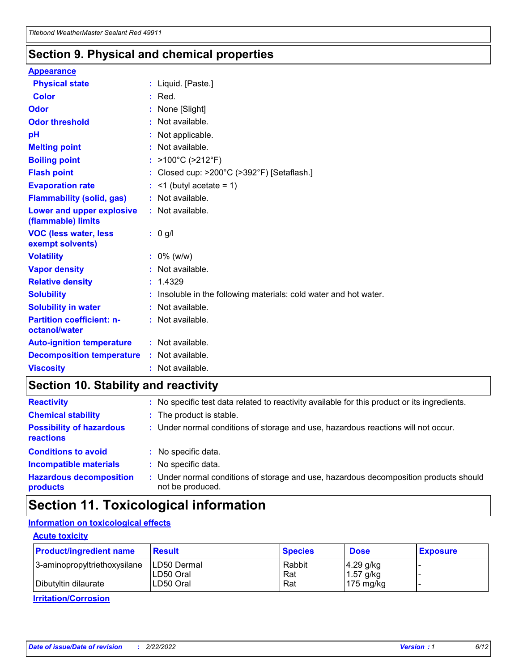### **Section 9. Physical and chemical properties**

#### **Appearance**

| <b>Physical state</b>                             | : Liquid. [Paste.]                                              |
|---------------------------------------------------|-----------------------------------------------------------------|
| Color                                             | $:$ Red.                                                        |
| Odor                                              | : None [Slight]                                                 |
| <b>Odor threshold</b>                             | : Not available.                                                |
| рH                                                | : Not applicable.                                               |
| <b>Melting point</b>                              | : Not available.                                                |
| <b>Boiling point</b>                              | : >100°C (>212°F)                                               |
| <b>Flash point</b>                                | : Closed cup: $>200^{\circ}$ C ( $>392^{\circ}$ F) [Setaflash.] |
| <b>Evaporation rate</b>                           | $:$ <1 (butyl acetate = 1)                                      |
| <b>Flammability (solid, gas)</b>                  | : Not available.                                                |
| Lower and upper explosive<br>(flammable) limits   | : Not available.                                                |
| <b>VOC (less water, less</b><br>exempt solvents)  | $: 0$ g/l                                                       |
|                                                   |                                                                 |
| <b>Volatility</b>                                 | $: 0\%$ (w/w)                                                   |
| <b>Vapor density</b>                              | : Not available.                                                |
| <b>Relative density</b>                           | : 1.4329                                                        |
| <b>Solubility</b>                                 | Insoluble in the following materials: cold water and hot water. |
| <b>Solubility in water</b>                        | : Not available.                                                |
| <b>Partition coefficient: n-</b><br>octanol/water | $:$ Not available.                                              |
| <b>Auto-ignition temperature</b>                  | : Not available.                                                |
| <b>Decomposition temperature</b>                  | : Not available.                                                |

## **Section 10. Stability and reactivity**

| <b>Reactivity</b>                            | : No specific test data related to reactivity available for this product or its ingredients.            |
|----------------------------------------------|---------------------------------------------------------------------------------------------------------|
| <b>Chemical stability</b>                    | : The product is stable.                                                                                |
| <b>Possibility of hazardous</b><br>reactions | : Under normal conditions of storage and use, hazardous reactions will not occur.                       |
| <b>Conditions to avoid</b>                   | : No specific data.                                                                                     |
| <b>Incompatible materials</b>                | : No specific data.                                                                                     |
| <b>Hazardous decomposition</b><br>products   | Under normal conditions of storage and use, hazardous decomposition products should<br>not be produced. |

## **Section 11. Toxicological information**

### **Information on toxicological effects**

#### **Acute toxicity**

| <b>Product/ingredient name</b> | <b>Result</b>           | <b>Species</b> | <b>Dose</b>                | <b>Exposure</b> |
|--------------------------------|-------------------------|----------------|----------------------------|-----------------|
| 3-aminopropyltriethoxysilane   | <b>ILD50 Dermal</b>     | Rabbit         | 4.29 g/kg                  |                 |
| Dibutyltin dilaurate           | ILD50 Oral<br>LD50 Oral | Rat<br>Rat     | $1.57$ g/kg<br>175 $mg/kg$ |                 |
|                                |                         |                |                            |                 |

**Irritation/Corrosion**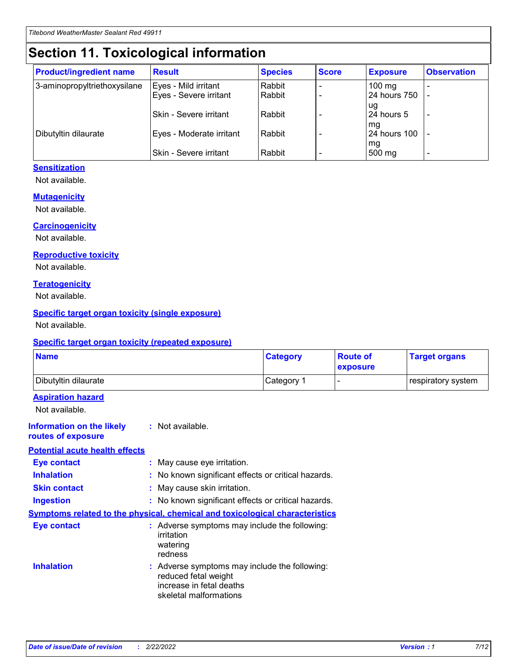## **Section 11. Toxicological information**

| <b>Product/ingredient name</b> | <b>Result</b>            | <b>Species</b> | <b>Score</b> | <b>Exposure</b>           | <b>Observation</b> |
|--------------------------------|--------------------------|----------------|--------------|---------------------------|--------------------|
| 3-aminopropyltriethoxysilane   | Eyes - Mild irritant     | Rabbit         |              | $100$ mg                  |                    |
|                                | Eyes - Severe irritant   | Rabbit         |              | 24 hours 750              |                    |
|                                |                          |                |              | ug                        |                    |
|                                | Skin - Severe irritant   | Rabbit         |              | 24 hours 5                | -                  |
| Dibutyltin dilaurate           | Eyes - Moderate irritant | Rabbit         |              | mg<br><b>24 hours 100</b> |                    |
|                                |                          |                |              | mg                        |                    |
|                                | Skin - Severe irritant   | Rabbit         |              | 500 mg                    | -                  |

### **Sensitization**

Not available.

#### **Mutagenicity**

Not available.

#### **Carcinogenicity**

Not available.

#### **Reproductive toxicity**

Not available.

#### **Teratogenicity**

Not available.

#### **Specific target organ toxicity (single exposure)**

Not available.

#### **Specific target organ toxicity (repeated exposure)**

| <b>Name</b>                                                                         |                                                                            | <b>Category</b>                                     | <b>Route of</b><br>exposure | <b>Target organs</b> |  |
|-------------------------------------------------------------------------------------|----------------------------------------------------------------------------|-----------------------------------------------------|-----------------------------|----------------------|--|
| Dibutyltin dilaurate                                                                |                                                                            | Category 1                                          |                             | respiratory system   |  |
| <b>Aspiration hazard</b><br>Not available.                                          |                                                                            |                                                     |                             |                      |  |
| <b>Information on the likely</b><br>routes of exposure                              | : Not available.                                                           |                                                     |                             |                      |  |
| <b>Potential acute health effects</b>                                               |                                                                            |                                                     |                             |                      |  |
| <b>Eye contact</b>                                                                  | : May cause eye irritation.                                                |                                                     |                             |                      |  |
| <b>Inhalation</b>                                                                   |                                                                            | : No known significant effects or critical hazards. |                             |                      |  |
| <b>Skin contact</b>                                                                 | : May cause skin irritation.                                               |                                                     |                             |                      |  |
| <b>Ingestion</b>                                                                    |                                                                            | : No known significant effects or critical hazards. |                             |                      |  |
| <b>Symptoms related to the physical, chemical and toxicological characteristics</b> |                                                                            |                                                     |                             |                      |  |
| <b>Eye contact</b>                                                                  | irritation<br>watering<br>redness                                          | : Adverse symptoms may include the following:       |                             |                      |  |
| <b>Inhalation</b>                                                                   | reduced fetal weight<br>increase in fetal deaths<br>skeletal malformations | : Adverse symptoms may include the following:       |                             |                      |  |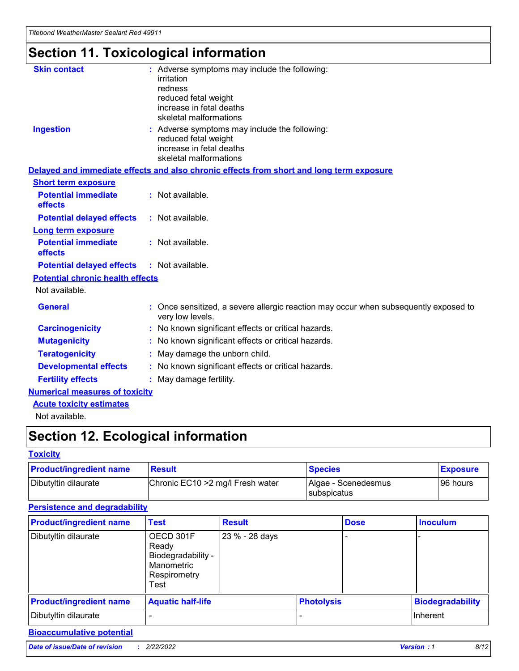## **Section 11. Toxicological information**

| <b>Skin contact</b>                     |                                                                                                          |
|-----------------------------------------|----------------------------------------------------------------------------------------------------------|
|                                         | : Adverse symptoms may include the following:<br>irritation                                              |
|                                         | redness                                                                                                  |
|                                         | reduced fetal weight                                                                                     |
|                                         | increase in fetal deaths                                                                                 |
|                                         | skeletal malformations                                                                                   |
| <b>Ingestion</b>                        | : Adverse symptoms may include the following:                                                            |
|                                         | reduced fetal weight                                                                                     |
|                                         | increase in fetal deaths                                                                                 |
|                                         | skeletal malformations                                                                                   |
|                                         | Delayed and immediate effects and also chronic effects from short and long term exposure                 |
| <b>Short term exposure</b>              |                                                                                                          |
| <b>Potential immediate</b>              | : Not available.                                                                                         |
| effects                                 |                                                                                                          |
| <b>Potential delayed effects</b>        | : Not available.                                                                                         |
| <b>Long term exposure</b>               |                                                                                                          |
| <b>Potential immediate</b>              | : Not available.                                                                                         |
| effects                                 |                                                                                                          |
| <b>Potential delayed effects</b>        | : Not available.                                                                                         |
| <b>Potential chronic health effects</b> |                                                                                                          |
| Not available.                          |                                                                                                          |
| <b>General</b>                          | : Once sensitized, a severe allergic reaction may occur when subsequently exposed to<br>very low levels. |
| <b>Carcinogenicity</b>                  | : No known significant effects or critical hazards.                                                      |
| <b>Mutagenicity</b>                     | No known significant effects or critical hazards.                                                        |
| <b>Teratogenicity</b>                   | May damage the unborn child.                                                                             |
| <b>Developmental effects</b>            | No known significant effects or critical hazards.                                                        |
| <b>Fertility effects</b>                | : May damage fertility.                                                                                  |
| <b>Numerical measures of toxicity</b>   |                                                                                                          |
| <b>Acute toxicity estimates</b>         |                                                                                                          |
|                                         |                                                                                                          |

Not available.

## **Section 12. Ecological information**

#### **Toxicity**

| <b>Product/ingredient name</b> | <b>Result</b>                     | <b>Species</b>                       | <b>Exposure</b> |
|--------------------------------|-----------------------------------|--------------------------------------|-----------------|
| Dibutyltin dilaurate           | Chronic EC10 > 2 mg/l Fresh water | Algae - Scenedesmus<br>I subspicatus | l 96 hours      |

### **Persistence and degradability**

| <b>Product/ingredient name</b> | Test                                                                           | <b>Result</b>  |                   | <b>Dose</b> | <b>Inoculum</b>         |
|--------------------------------|--------------------------------------------------------------------------------|----------------|-------------------|-------------|-------------------------|
| Dibutyltin dilaurate           | OECD 301F<br>Ready<br>Biodegradability -<br>Manometric<br>Respirometry<br>Test | 23 % - 28 days |                   |             |                         |
| <b>Product/ingredient name</b> | <b>Aquatic half-life</b>                                                       |                | <b>Photolysis</b> |             | <b>Biodegradability</b> |
| Dibutyltin dilaurate           |                                                                                |                |                   |             | Inherent                |

### **Bioaccumulative potential**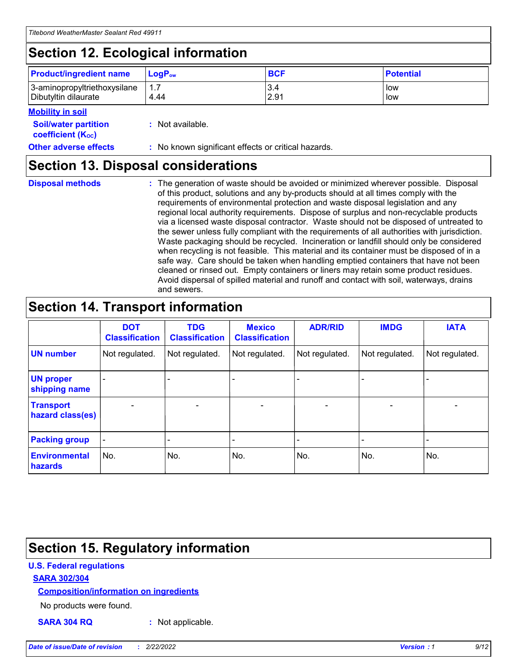## **Section 12. Ecological information**

| <b>Product/ingredient name</b>                       | ∣LoqP <sub>ow</sub> | <b>BCF</b>  | <b>Potential</b> |
|------------------------------------------------------|---------------------|-------------|------------------|
| 3-aminopropyltriethoxysilane<br>Dibutyltin dilaurate | 1.1<br>4.44         | 3.4<br>2.91 | low<br>low       |

#### **Mobility in soil**

| <i></i>                                                       |                                                     |
|---------------------------------------------------------------|-----------------------------------------------------|
| <b>Soil/water partition</b><br>coefficient (K <sub>oc</sub> ) | : Not available.                                    |
| <b>Other adverse effects</b>                                  | : No known significant effects or critical hazards. |

### **Section 13. Disposal considerations**

|  | <b>Disposal methods</b> |  |
|--|-------------------------|--|

**Disposal methods** : The generation of waste should be avoided or minimized wherever possible. Disposal of this product, solutions and any by-products should at all times comply with the requirements of environmental protection and waste disposal legislation and any regional local authority requirements. Dispose of surplus and non-recyclable products via a licensed waste disposal contractor. Waste should not be disposed of untreated to the sewer unless fully compliant with the requirements of all authorities with jurisdiction. Waste packaging should be recycled. Incineration or landfill should only be considered when recycling is not feasible. This material and its container must be disposed of in a safe way. Care should be taken when handling emptied containers that have not been cleaned or rinsed out. Empty containers or liners may retain some product residues. Avoid dispersal of spilled material and runoff and contact with soil, waterways, drains and sewers.

## **Section 14. Transport information**

|                                      | <b>DOT</b><br><b>Classification</b> | <b>TDG</b><br><b>Classification</b> | <b>Mexico</b><br><b>Classification</b> | <b>ADR/RID</b>           | <b>IMDG</b>              | <b>IATA</b>              |
|--------------------------------------|-------------------------------------|-------------------------------------|----------------------------------------|--------------------------|--------------------------|--------------------------|
| <b>UN number</b>                     | Not regulated.                      | Not regulated.                      | Not regulated.                         | Not regulated.           | Not regulated.           | Not regulated.           |
| <b>UN proper</b><br>shipping name    | $\qquad \qquad \blacksquare$        |                                     |                                        |                          |                          |                          |
| <b>Transport</b><br>hazard class(es) | $\blacksquare$                      | $\blacksquare$                      | $\blacksquare$                         | $\overline{\phantom{a}}$ | $\blacksquare$           | $\blacksquare$           |
| <b>Packing group</b>                 | $\overline{\phantom{a}}$            | $\overline{\phantom{0}}$            | $\overline{\phantom{0}}$               | -                        | $\overline{\phantom{0}}$ | $\overline{\phantom{a}}$ |
| <b>Environmental</b><br>hazards      | No.                                 | No.                                 | No.                                    | No.                      | No.                      | No.                      |

### **Section 15. Regulatory information**

#### **U.S. Federal regulations**

#### **SARA 302/304**

#### **Composition/information on ingredients**

No products were found.

**SARA 304 RQ :** Not applicable.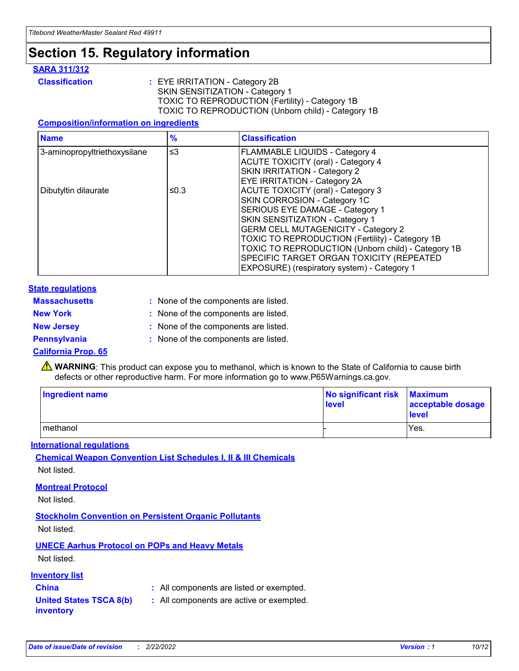## **Section 15. Regulatory information**

#### **SARA 311/312**

**Classification :** EYE IRRITATION - Category 2B SKIN SENSITIZATION - Category 1 TOXIC TO REPRODUCTION (Fertility) - Category 1B TOXIC TO REPRODUCTION (Unborn child) - Category 1B

#### **Composition/information on ingredients**

| <b>Name</b>                  | $\frac{9}{6}$ | <b>Classification</b>                                                                                            |
|------------------------------|---------------|------------------------------------------------------------------------------------------------------------------|
| 3-aminopropyltriethoxysilane | $\leq$ 3      | <b>FLAMMABLE LIQUIDS - Category 4</b><br><b>ACUTE TOXICITY (oral) - Category 4</b>                               |
|                              |               | SKIN IRRITATION - Category 2<br>EYE IRRITATION - Category 2A                                                     |
| Dibutyltin dilaurate         | ≤0.3          | ACUTE TOXICITY (oral) - Category 3<br>SKIN CORROSION - Category 1C                                               |
|                              |               | SERIOUS EYE DAMAGE - Category 1<br>SKIN SENSITIZATION - Category 1<br><b>GERM CELL MUTAGENICITY - Category 2</b> |
|                              |               | TOXIC TO REPRODUCTION (Fertility) - Category 1B<br>TOXIC TO REPRODUCTION (Unborn child) - Category 1B            |
|                              |               | SPECIFIC TARGET ORGAN TOXICITY (REPEATED<br>EXPOSURE) (respiratory system) - Category 1                          |

#### **State regulations**

| <b>Massachusetts</b> | : None of the components are listed. |
|----------------------|--------------------------------------|
| <b>New York</b>      | : None of the components are listed. |
| <b>New Jersey</b>    | : None of the components are listed. |
| <b>Pennsylvania</b>  | : None of the components are listed. |

#### **California Prop. 65**

**A** WARNING: This product can expose you to methanol, which is known to the State of California to cause birth defects or other reproductive harm. For more information go to www.P65Warnings.ca.gov.

| <b>Ingredient name</b> | No significant risk Maximum<br>level | acceptable dosage<br>level |
|------------------------|--------------------------------------|----------------------------|
| methanol               |                                      | Yes.                       |

#### **International regulations**

**Chemical Weapon Convention List Schedules I, II & III Chemicals** Not listed.

#### **Montreal Protocol**

Not listed.

**Stockholm Convention on Persistent Organic Pollutants**

Not listed.

### **UNECE Aarhus Protocol on POPs and Heavy Metals**

Not listed.

#### **Inventory list**

### **China :** All components are listed or exempted.

**United States TSCA 8(b) inventory :** All components are active or exempted.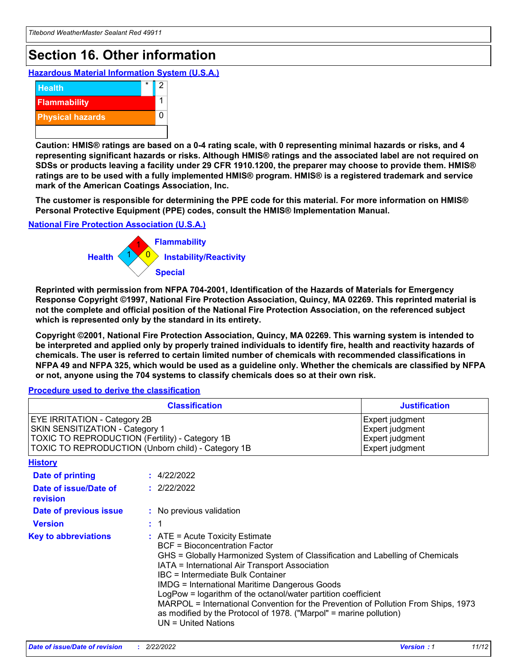## **Section 16. Other information**

**Hazardous Material Information System (U.S.A.)**



**Caution: HMIS® ratings are based on a 0-4 rating scale, with 0 representing minimal hazards or risks, and 4 representing significant hazards or risks. Although HMIS® ratings and the associated label are not required on SDSs or products leaving a facility under 29 CFR 1910.1200, the preparer may choose to provide them. HMIS® ratings are to be used with a fully implemented HMIS® program. HMIS® is a registered trademark and service mark of the American Coatings Association, Inc.**

**The customer is responsible for determining the PPE code for this material. For more information on HMIS® Personal Protective Equipment (PPE) codes, consult the HMIS® Implementation Manual.**

#### **National Fire Protection Association (U.S.A.)**



**Reprinted with permission from NFPA 704-2001, Identification of the Hazards of Materials for Emergency Response Copyright ©1997, National Fire Protection Association, Quincy, MA 02269. This reprinted material is not the complete and official position of the National Fire Protection Association, on the referenced subject which is represented only by the standard in its entirety.**

**Copyright ©2001, National Fire Protection Association, Quincy, MA 02269. This warning system is intended to be interpreted and applied only by properly trained individuals to identify fire, health and reactivity hazards of chemicals. The user is referred to certain limited number of chemicals with recommended classifications in NFPA 49 and NFPA 325, which would be used as a guideline only. Whether the chemicals are classified by NFPA or not, anyone using the 704 systems to classify chemicals does so at their own risk.**

#### **Procedure used to derive the classification**

|                                                                                                                    | <b>Classification</b>                                                                                                                                                                                                                                                                                                                                                                                                                                                                                                                                         | <b>Justification</b>                                                     |
|--------------------------------------------------------------------------------------------------------------------|---------------------------------------------------------------------------------------------------------------------------------------------------------------------------------------------------------------------------------------------------------------------------------------------------------------------------------------------------------------------------------------------------------------------------------------------------------------------------------------------------------------------------------------------------------------|--------------------------------------------------------------------------|
| EYE IRRITATION - Category 2B<br>SKIN SENSITIZATION - Category 1<br>TOXIC TO REPRODUCTION (Fertility) - Category 1B | TOXIC TO REPRODUCTION (Unborn child) - Category 1B                                                                                                                                                                                                                                                                                                                                                                                                                                                                                                            | Expert judgment<br>Expert judgment<br>Expert judgment<br>Expert judgment |
| <b>History</b>                                                                                                     |                                                                                                                                                                                                                                                                                                                                                                                                                                                                                                                                                               |                                                                          |
| Date of printing                                                                                                   | : 4/22/2022                                                                                                                                                                                                                                                                                                                                                                                                                                                                                                                                                   |                                                                          |
| Date of issue/Date of<br>revision                                                                                  | : 2/22/2022                                                                                                                                                                                                                                                                                                                                                                                                                                                                                                                                                   |                                                                          |
| Date of previous issue                                                                                             | : No previous validation                                                                                                                                                                                                                                                                                                                                                                                                                                                                                                                                      |                                                                          |
| <b>Version</b>                                                                                                     | : 1                                                                                                                                                                                                                                                                                                                                                                                                                                                                                                                                                           |                                                                          |
| <b>Key to abbreviations</b>                                                                                        | $:$ ATE = Acute Toxicity Estimate<br><b>BCF</b> = Bioconcentration Factor<br>GHS = Globally Harmonized System of Classification and Labelling of Chemicals<br>IATA = International Air Transport Association<br>IBC = Intermediate Bulk Container<br><b>IMDG = International Maritime Dangerous Goods</b><br>LogPow = logarithm of the octanol/water partition coefficient<br>MARPOL = International Convention for the Prevention of Pollution From Ships, 1973<br>as modified by the Protocol of 1978. ("Marpol" = marine pollution)<br>UN = United Nations |                                                                          |